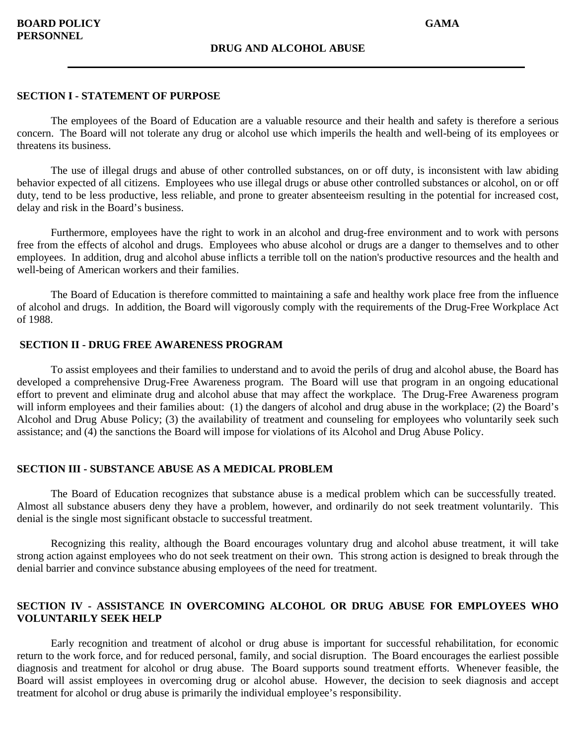The employees of the Board of Education are a valuable resource and their health and safety is therefore a serious concern. The Board will not tolerate any drug or alcohol use which imperils the health and well-being of its employees or threatens its business.

The use of illegal drugs and abuse of other controlled substances, on or off duty, is inconsistent with law abiding behavior expected of all citizens. Employees who use illegal drugs or abuse other controlled substances or alcohol, on or off duty, tend to be less productive, less reliable, and prone to greater absenteeism resulting in the potential for increased cost, delay and risk in the Board's business.

Furthermore, employees have the right to work in an alcohol and drug-free environment and to work with persons free from the effects of alcohol and drugs. Employees who abuse alcohol or drugs are a danger to themselves and to other employees. In addition, drug and alcohol abuse inflicts a terrible toll on the nation's productive resources and the health and well-being of American workers and their families.

The Board of Education is therefore committed to maintaining a safe and healthy work place free from the influence of alcohol and drugs. In addition, the Board will vigorously comply with the requirements of the Drug-Free Workplace Act of 1988.

# **SECTION II - DRUG FREE AWARENESS PROGRAM**

To assist employees and their families to understand and to avoid the perils of drug and alcohol abuse, the Board has developed a comprehensive Drug-Free Awareness program. The Board will use that program in an ongoing educational effort to prevent and eliminate drug and alcohol abuse that may affect the workplace. The Drug-Free Awareness program will inform employees and their families about: (1) the dangers of alcohol and drug abuse in the workplace; (2) the Board's Alcohol and Drug Abuse Policy; (3) the availability of treatment and counseling for employees who voluntarily seek such assistance; and (4) the sanctions the Board will impose for violations of its Alcohol and Drug Abuse Policy.

#### **SECTION III - SUBSTANCE ABUSE AS A MEDICAL PROBLEM**

The Board of Education recognizes that substance abuse is a medical problem which can be successfully treated. Almost all substance abusers deny they have a problem, however, and ordinarily do not seek treatment voluntarily. This denial is the single most significant obstacle to successful treatment.

Recognizing this reality, although the Board encourages voluntary drug and alcohol abuse treatment, it will take strong action against employees who do not seek treatment on their own. This strong action is designed to break through the denial barrier and convince substance abusing employees of the need for treatment.

# **SECTION IV - ASSISTANCE IN OVERCOMING ALCOHOL OR DRUG ABUSE FOR EMPLOYEES WHO VOLUNTARILY SEEK HELP**

Early recognition and treatment of alcohol or drug abuse is important for successful rehabilitation, for economic return to the work force, and for reduced personal, family, and social disruption. The Board encourages the earliest possible diagnosis and treatment for alcohol or drug abuse. The Board supports sound treatment efforts. Whenever feasible, the Board will assist employees in overcoming drug or alcohol abuse. However, the decision to seek diagnosis and accept treatment for alcohol or drug abuse is primarily the individual employee's responsibility.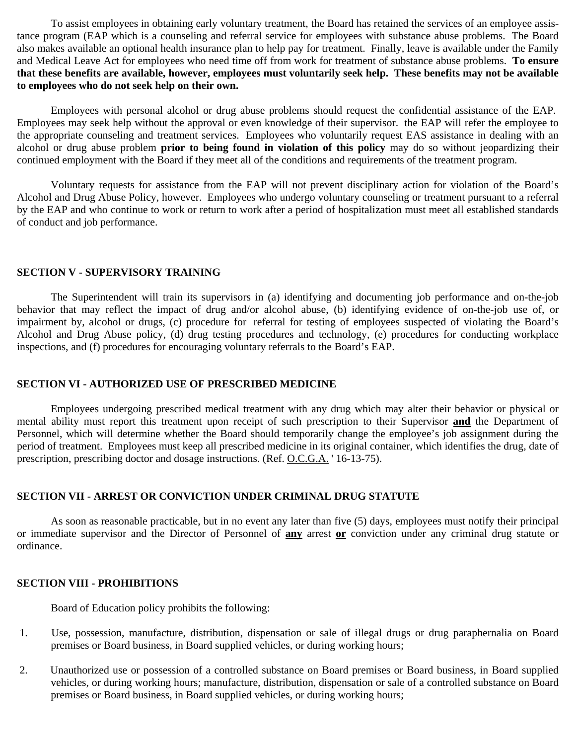To assist employees in obtaining early voluntary treatment, the Board has retained the services of an employee assistance program (EAP which is a counseling and referral service for employees with substance abuse problems. The Board also makes available an optional health insurance plan to help pay for treatment. Finally, leave is available under the Family and Medical Leave Act for employees who need time off from work for treatment of substance abuse problems. **To ensure that these benefits are available, however, employees must voluntarily seek help. These benefits may not be available to employees who do not seek help on their own.**

Employees with personal alcohol or drug abuse problems should request the confidential assistance of the EAP. Employees may seek help without the approval or even knowledge of their supervisor. the EAP will refer the employee to the appropriate counseling and treatment services. Employees who voluntarily request EAS assistance in dealing with an alcohol or drug abuse problem **prior to being found in violation of this policy** may do so without jeopardizing their continued employment with the Board if they meet all of the conditions and requirements of the treatment program.

Voluntary requests for assistance from the EAP will not prevent disciplinary action for violation of the Board's Alcohol and Drug Abuse Policy, however. Employees who undergo voluntary counseling or treatment pursuant to a referral by the EAP and who continue to work or return to work after a period of hospitalization must meet all established standards of conduct and job performance.

#### **SECTION V - SUPERVISORY TRAINING**

The Superintendent will train its supervisors in (a) identifying and documenting job performance and on-the-job behavior that may reflect the impact of drug and/or alcohol abuse, (b) identifying evidence of on-the-job use of, or impairment by, alcohol or drugs, (c) procedure for referral for testing of employees suspected of violating the Board's Alcohol and Drug Abuse policy, (d) drug testing procedures and technology, (e) procedures for conducting workplace inspections, and (f) procedures for encouraging voluntary referrals to the Board's EAP.

### **SECTION VI - AUTHORIZED USE OF PRESCRIBED MEDICINE**

Employees undergoing prescribed medical treatment with any drug which may alter their behavior or physical or mental ability must report this treatment upon receipt of such prescription to their Supervisor **and** the Department of Personnel, which will determine whether the Board should temporarily change the employee's job assignment during the period of treatment. Employees must keep all prescribed medicine in its original container, which identifies the drug, date of prescription, prescribing doctor and dosage instructions. (Ref. O.C.G.A. ' 16-13-75).

### **SECTION VII - ARREST OR CONVICTION UNDER CRIMINAL DRUG STATUTE**

As soon as reasonable practicable, but in no event any later than five (5) days, employees must notify their principal or immediate supervisor and the Director of Personnel of **any** arrest **or** conviction under any criminal drug statute or ordinance.

#### **SECTION VIII - PROHIBITIONS**

Board of Education policy prohibits the following:

- 1. Use, possession, manufacture, distribution, dispensation or sale of illegal drugs or drug paraphernalia on Board premises or Board business, in Board supplied vehicles, or during working hours;
- 2. Unauthorized use or possession of a controlled substance on Board premises or Board business, in Board supplied vehicles, or during working hours; manufacture, distribution, dispensation or sale of a controlled substance on Board premises or Board business, in Board supplied vehicles, or during working hours;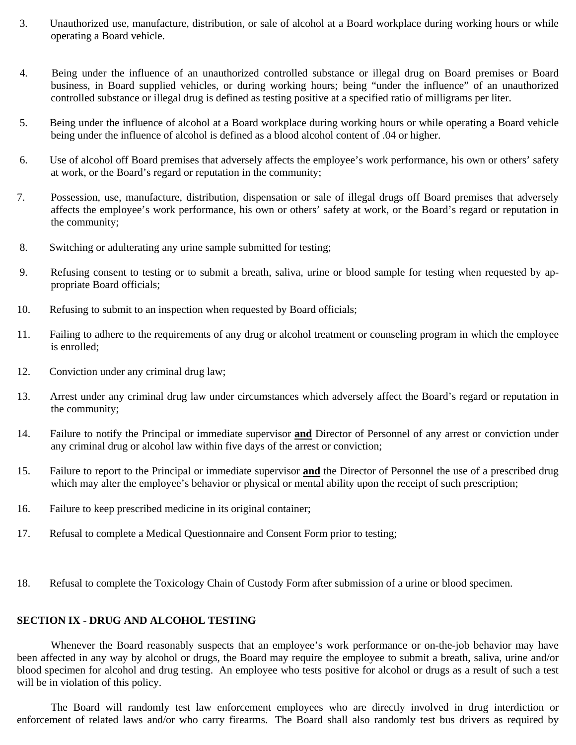- 3. Unauthorized use, manufacture, distribution, or sale of alcohol at a Board workplace during working hours or while operating a Board vehicle.
- 4. Being under the influence of an unauthorized controlled substance or illegal drug on Board premises or Board business, in Board supplied vehicles, or during working hours; being "under the influence" of an unauthorized controlled substance or illegal drug is defined as testing positive at a specified ratio of milligrams per liter.
- 5. Being under the influence of alcohol at a Board workplace during working hours or while operating a Board vehicle being under the influence of alcohol is defined as a blood alcohol content of .04 or higher.
- 6. Use of alcohol off Board premises that adversely affects the employee's work performance, his own or others' safety at work, or the Board's regard or reputation in the community;
- 7. Possession, use, manufacture, distribution, dispensation or sale of illegal drugs off Board premises that adversely affects the employee's work performance, his own or others' safety at work, or the Board's regard or reputation in the community;
- 8. Switching or adulterating any urine sample submitted for testing;
- 9. Refusing consent to testing or to submit a breath, saliva, urine or blood sample for testing when requested by appropriate Board officials;
- 10. Refusing to submit to an inspection when requested by Board officials;
- 11. Failing to adhere to the requirements of any drug or alcohol treatment or counseling program in which the employee is enrolled;
- 12. Conviction under any criminal drug law;
- 13. Arrest under any criminal drug law under circumstances which adversely affect the Board's regard or reputation in the community;
- 14. Failure to notify the Principal or immediate supervisor **and** Director of Personnel of any arrest or conviction under any criminal drug or alcohol law within five days of the arrest or conviction;
- 15. Failure to report to the Principal or immediate supervisor **and** the Director of Personnel the use of a prescribed drug which may alter the employee's behavior or physical or mental ability upon the receipt of such prescription;
- 16. Failure to keep prescribed medicine in its original container;
- 17. Refusal to complete a Medical Questionnaire and Consent Form prior to testing;
- 18. Refusal to complete the Toxicology Chain of Custody Form after submission of a urine or blood specimen.

### **SECTION IX - DRUG AND ALCOHOL TESTING**

Whenever the Board reasonably suspects that an employee's work performance or on-the-job behavior may have been affected in any way by alcohol or drugs, the Board may require the employee to submit a breath, saliva, urine and/or blood specimen for alcohol and drug testing. An employee who tests positive for alcohol or drugs as a result of such a test will be in violation of this policy.

The Board will randomly test law enforcement employees who are directly involved in drug interdiction or enforcement of related laws and/or who carry firearms. The Board shall also randomly test bus drivers as required by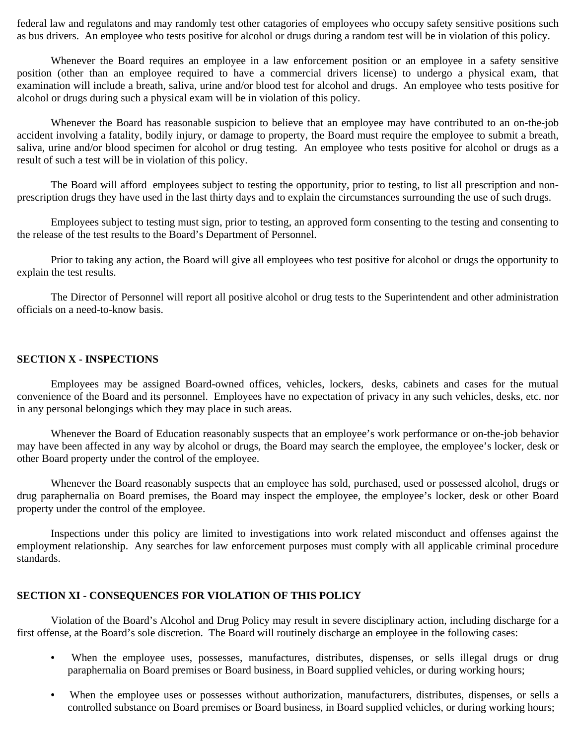federal law and regulatons and may randomly test other catagories of employees who occupy safety sensitive positions such as bus drivers. An employee who tests positive for alcohol or drugs during a random test will be in violation of this policy.

Whenever the Board requires an employee in a law enforcement position or an employee in a safety sensitive position (other than an employee required to have a commercial drivers license) to undergo a physical exam, that examination will include a breath, saliva, urine and/or blood test for alcohol and drugs. An employee who tests positive for alcohol or drugs during such a physical exam will be in violation of this policy.

Whenever the Board has reasonable suspicion to believe that an employee may have contributed to an on-the-job accident involving a fatality, bodily injury, or damage to property, the Board must require the employee to submit a breath, saliva, urine and/or blood specimen for alcohol or drug testing. An employee who tests positive for alcohol or drugs as a result of such a test will be in violation of this policy.

The Board will afford employees subject to testing the opportunity, prior to testing, to list all prescription and nonprescription drugs they have used in the last thirty days and to explain the circumstances surrounding the use of such drugs.

Employees subject to testing must sign, prior to testing, an approved form consenting to the testing and consenting to the release of the test results to the Board's Department of Personnel.

Prior to taking any action, the Board will give all employees who test positive for alcohol or drugs the opportunity to explain the test results.

The Director of Personnel will report all positive alcohol or drug tests to the Superintendent and other administration officials on a need-to-know basis.

### **SECTION X - INSPECTIONS**

Employees may be assigned Board-owned offices, vehicles, lockers, desks, cabinets and cases for the mutual convenience of the Board and its personnel. Employees have no expectation of privacy in any such vehicles, desks, etc. nor in any personal belongings which they may place in such areas.

Whenever the Board of Education reasonably suspects that an employee's work performance or on-the-job behavior may have been affected in any way by alcohol or drugs, the Board may search the employee, the employee's locker, desk or other Board property under the control of the employee.

Whenever the Board reasonably suspects that an employee has sold, purchased, used or possessed alcohol, drugs or drug paraphernalia on Board premises, the Board may inspect the employee, the employee's locker, desk or other Board property under the control of the employee.

Inspections under this policy are limited to investigations into work related misconduct and offenses against the employment relationship. Any searches for law enforcement purposes must comply with all applicable criminal procedure standards.

### **SECTION XI - CONSEQUENCES FOR VIOLATION OF THIS POLICY**

Violation of the Board's Alcohol and Drug Policy may result in severe disciplinary action, including discharge for a first offense, at the Board's sole discretion. The Board will routinely discharge an employee in the following cases:

- When the employee uses, possesses, manufactures, distributes, dispenses, or sells illegal drugs or drug paraphernalia on Board premises or Board business, in Board supplied vehicles, or during working hours;
- When the employee uses or possesses without authorization, manufacturers, distributes, dispenses, or sells a controlled substance on Board premises or Board business, in Board supplied vehicles, or during working hours;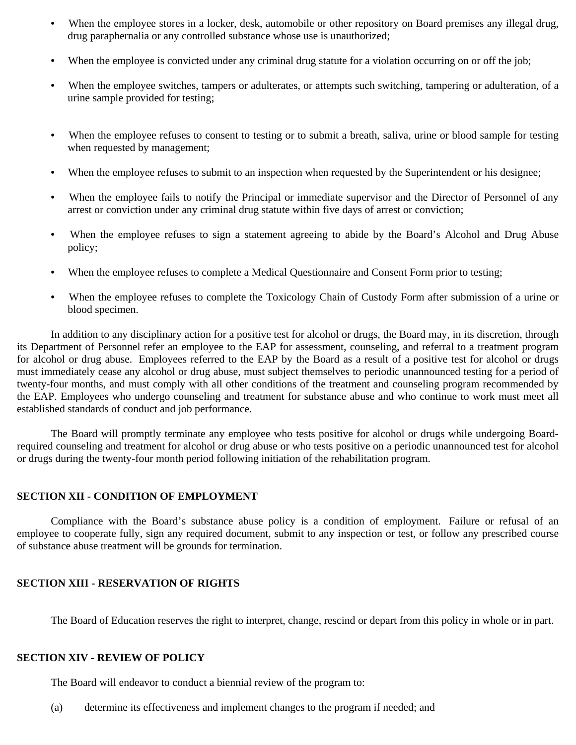- When the employee stores in a locker, desk, automobile or other repository on Board premises any illegal drug, drug paraphernalia or any controlled substance whose use is unauthorized;
- When the employee is convicted under any criminal drug statute for a violation occurring on or off the job;
- When the employee switches, tampers or adulterates, or attempts such switching, tampering or adulteration, of a urine sample provided for testing;
- When the employee refuses to consent to testing or to submit a breath, saliva, urine or blood sample for testing when requested by management;
- When the employee refuses to submit to an inspection when requested by the Superintendent or his designee;
- When the employee fails to notify the Principal or immediate supervisor and the Director of Personnel of any arrest or conviction under any criminal drug statute within five days of arrest or conviction;
- When the employee refuses to sign a statement agreeing to abide by the Board's Alcohol and Drug Abuse policy;
- **•** When the employee refuses to complete a Medical Questionnaire and Consent Form prior to testing;
- When the employee refuses to complete the Toxicology Chain of Custody Form after submission of a urine or blood specimen.

In addition to any disciplinary action for a positive test for alcohol or drugs, the Board may, in its discretion, through its Department of Personnel refer an employee to the EAP for assessment, counseling, and referral to a treatment program for alcohol or drug abuse. Employees referred to the EAP by the Board as a result of a positive test for alcohol or drugs must immediately cease any alcohol or drug abuse, must subject themselves to periodic unannounced testing for a period of twenty-four months, and must comply with all other conditions of the treatment and counseling program recommended by the EAP. Employees who undergo counseling and treatment for substance abuse and who continue to work must meet all established standards of conduct and job performance.

The Board will promptly terminate any employee who tests positive for alcohol or drugs while undergoing Boardrequired counseling and treatment for alcohol or drug abuse or who tests positive on a periodic unannounced test for alcohol or drugs during the twenty-four month period following initiation of the rehabilitation program.

#### **SECTION XII - CONDITION OF EMPLOYMENT**

Compliance with the Board's substance abuse policy is a condition of employment. Failure or refusal of an employee to cooperate fully, sign any required document, submit to any inspection or test, or follow any prescribed course of substance abuse treatment will be grounds for termination.

#### **SECTION XIII - RESERVATION OF RIGHTS**

The Board of Education reserves the right to interpret, change, rescind or depart from this policy in whole or in part.

### **SECTION XIV - REVIEW OF POLICY**

The Board will endeavor to conduct a biennial review of the program to:

(a) determine its effectiveness and implement changes to the program if needed; and